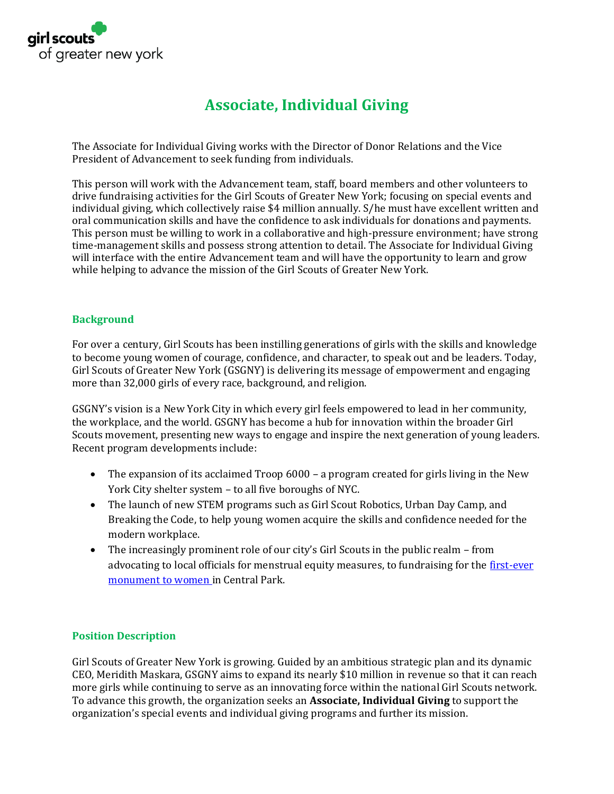

# **Associate, Individual Giving**

The Associate for Individual Giving works with the Director of Donor Relations and the Vice President of Advancement to seek funding from individuals.

This person will work with the Advancement team, staff, board members and other volunteers to drive fundraising activities for the Girl Scouts of Greater New York; focusing on special events and individual giving, which collectively raise \$4 million annually. S/he must have excellent written and oral communication skills and have the confidence to ask individuals for donations and payments. This person must be willing to work in a collaborative and high-pressure environment; have strong time-management skills and possess strong attention to detail. The Associate for Individual Giving will interface with the entire Advancement team and will have the opportunity to learn and grow while helping to advance the mission of the Girl Scouts of Greater New York.

## **Background**

For over a century, Girl Scouts has been instilling generations of girls with the skills and knowledge to become young women of courage, confidence, and character, to speak out and be leaders. Today, Girl Scouts of Greater New York (GSGNY) is delivering its message of empowerment and engaging more than 32,000 girls of every race, background, and religion.

GSGNY's vision is a New York City in which every girl feels empowered to lead in her community, the workplace, and the world. GSGNY has become a hub for innovation within the broader Girl Scouts movement, presenting new ways to engage and inspire the next generation of young leaders. Recent program developments include:

- The expansion of its acclaimed Troop 6000 a program created for girls living in the New York City shelter system – to all five boroughs of NYC.
- The launch of new STEM programs such as Girl Scout Robotics, Urban Day Camp, and Breaking the Code, to help young women acquire the skills and confidence needed for the modern workplace.
- The increasingly prominent role of our city's Girl Scouts in the public realm from advocating to local officials for menstrual equity measures, to fundraising for the [first-ever](https://in.amny.com/2zmqBRb)  [monument to women i](https://in.amny.com/2zmqBRb)n Central Park.

# **Position Description**

Girl Scouts of Greater New York is growing. Guided by an ambitious strategic plan and its dynamic CEO, Meridith Maskara, GSGNY aims to expand its nearly \$10 million in revenue so that it can reach more girls while continuing to serve as an innovating force within the national Girl Scouts network. To advance this growth, the organization seeks an **Associate, Individual Giving** to support the organization's special events and individual giving programs and further its mission.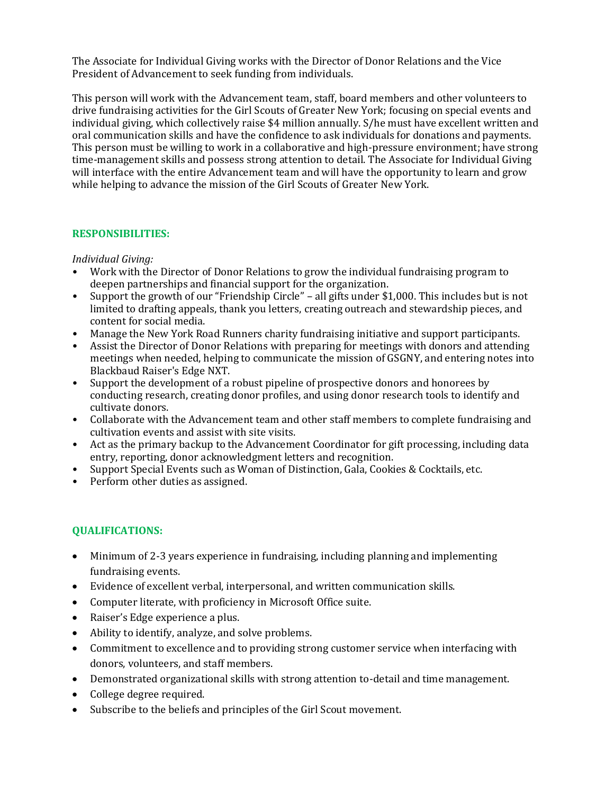The Associate for Individual Giving works with the Director of Donor Relations and the Vice President of Advancement to seek funding from individuals.

This person will work with the Advancement team, staff, board members and other volunteers to drive fundraising activities for the Girl Scouts of Greater New York; focusing on special events and individual giving, which collectively raise \$4 million annually. S/he must have excellent written and oral communication skills and have the confidence to ask individuals for donations and payments. This person must be willing to work in a collaborative and high-pressure environment; have strong time-management skills and possess strong attention to detail. The Associate for Individual Giving will interface with the entire Advancement team and will have the opportunity to learn and grow while helping to advance the mission of the Girl Scouts of Greater New York.

## **RESPONSIBILITIES:**

#### *Individual Giving:*

- Work with the Director of Donor Relations to grow the individual fundraising program to deepen partnerships and financial support for the organization.
- Support the growth of our "Friendship Circle" all gifts under \$1,000. This includes but is not limited to drafting appeals, thank you letters, creating outreach and stewardship pieces, and content for social media.
- Manage the New York Road Runners charity fundraising initiative and support participants.
- Assist the Director of Donor Relations with preparing for meetings with donors and attending meetings when needed, helping to communicate the mission of GSGNY, and entering notes into Blackbaud Raiser's Edge NXT.
- Support the development of a robust pipeline of prospective donors and honorees by conducting research, creating donor profiles, and using donor research tools to identify and cultivate donors.
- Collaborate with the Advancement team and other staff members to complete fundraising and cultivation events and assist with site visits.
- Act as the primary backup to the Advancement Coordinator for gift processing, including data entry, reporting, donor acknowledgment letters and recognition.
- Support Special Events such as Woman of Distinction, Gala, Cookies & Cocktails, etc.
- Perform other duties as assigned.

# **QUALIFICATIONS:**

- Minimum of 2-3 years experience in fundraising, including planning and implementing fundraising events.
- Evidence of excellent verbal, interpersonal, and written communication skills.
- Computer literate, with proficiency in Microsoft Office suite.
- Raiser's Edge experience a plus.
- Ability to identify, analyze, and solve problems.
- Commitment to excellence and to providing strong customer service when interfacing with donors, volunteers, and staff members.
- Demonstrated organizational skills with strong attention to-detail and time management.
- College degree required.
- Subscribe to the beliefs and principles of the Girl Scout movement.